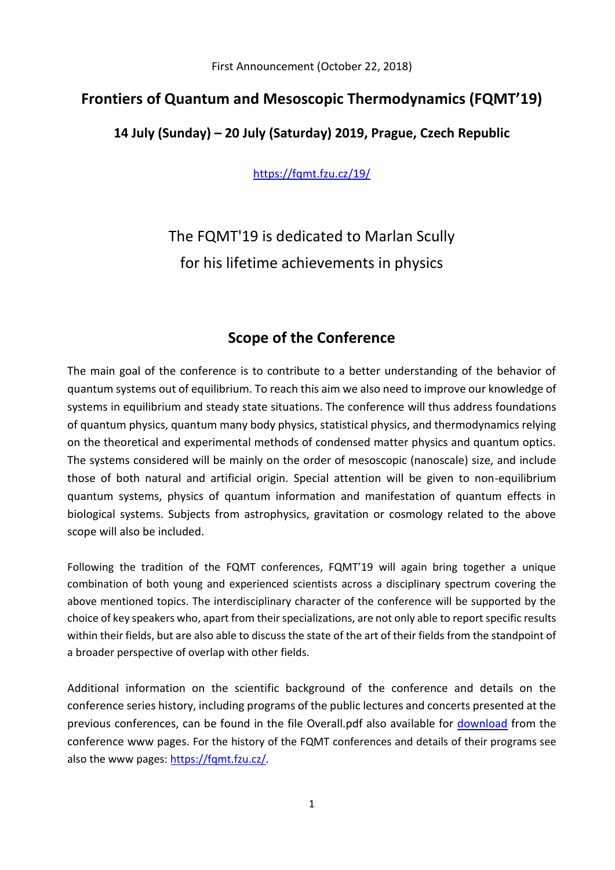First Announcement (October 22, 2018)

### **Frontiers of Quantum and Mesoscopic Thermodynamics (FQMT'19)**

### **14 July (Sunday) – 20 July (Saturday) 2019, Prague, Czech Republic**

<https://fqmt.fzu.cz/19/>

The FQMT'19 is dedicated to Marlan Scully for his lifetime achievements in physics

### **Scope of the Conference**

The main goal of the conference is to contribute to a better understanding of the behavior of quantum systems out of equilibrium. To reach this aim we also need to improve our knowledge of systems in equilibrium and steady state situations. The conference will thus address foundations of quantum physics, quantum many body physics, statistical physics, and thermodynamics relying on the theoretical and experimental methods of condensed matter physics and quantum optics. The systems considered will be mainly on the order of mesoscopic (nanoscale) size, and include those of both natural and artificial origin. Special attention will be given to non-equilibrium quantum systems, physics of quantum information and manifestation of quantum effects in biological systems. Subjects from astrophysics, gravitation or cosmology related to the above scope will also be included.

Following the tradition of the FQMT conferences, FQMT'19 will again bring together a unique combination of both young and experienced scientists across a disciplinary spectrum covering the above mentioned topics. The interdisciplinary character of the conference will be supported by the choice of key speakers who, apart from their specializations, are not only able to report specific results within their fields, but are also able to discuss the state of the art of their fields from the standpoint of a broader perspective of overlap with other fields.

Additional information on the scientific background of the conference and details on the conference series history, including programs of the public lectures and concerts presented at the previous conferences, can be found in the file Overall.pdf also available for [download](https://fqmt.fzu.cz/19/index.php?active=texts) from the conference www pages. For the history of the FQMT conferences and details of their programs see also the www pages: [https://fqmt.fzu.cz/.](https://fqmt.fzu.cz/)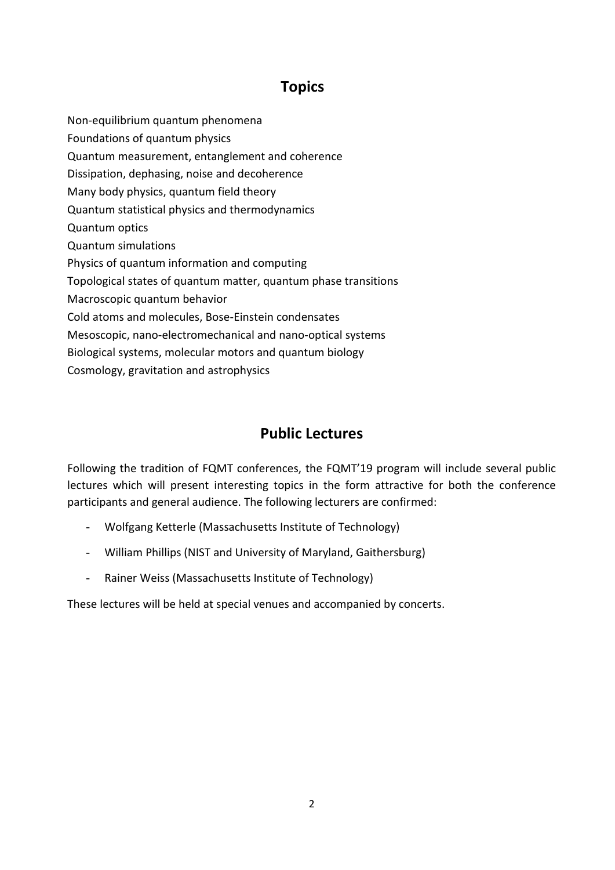## **Topics**

Non-equilibrium quantum phenomena Foundations of quantum physics Quantum measurement, entanglement and coherence Dissipation, dephasing, noise and decoherence Many body physics, quantum field theory Quantum statistical physics and thermodynamics Quantum optics Quantum simulations Physics of quantum information and computing Topological states of quantum matter, quantum phase transitions Macroscopic quantum behavior Cold atoms and molecules, Bose-Einstein condensates Mesoscopic, nano-electromechanical and nano-optical systems Biological systems, molecular motors and quantum biology Cosmology, gravitation and astrophysics

# **Public Lectures**

Following the tradition of FQMT conferences, the FQMT'19 program will include several public lectures which will present interesting topics in the form attractive for both the conference participants and general audience. The following lecturers are confirmed:

- Wolfgang Ketterle (Massachusetts Institute of Technology)
- William Phillips (NIST and University of Maryland, Gaithersburg)
- Rainer Weiss (Massachusetts Institute of Technology)

These lectures will be held at special venues and accompanied by concerts.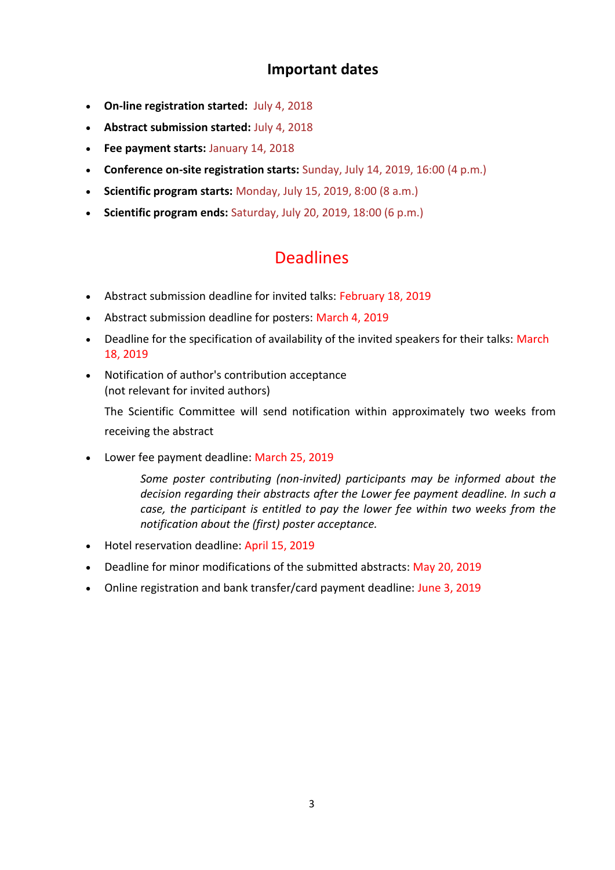## **Important dates**

- **On-line registration started:** July 4, 2018
- **Abstract submission started:** July 4, 2018
- **Fee payment starts:** January 14, 2018
- **Conference on-site registration starts:** Sunday, July 14, 2019, 16:00 (4 p.m.)
- **Scientific program starts:** Monday, July 15, 2019, 8:00 (8 a.m.)
- **Scientific program ends:** Saturday, July 20, 2019, 18:00 (6 p.m.)

# **Deadlines**

- Abstract submission deadline for invited talks: February 18, 2019
- Abstract submission deadline for posters: March 4, 2019
- Deadline for the specification of availability of the invited speakers for their talks: March 18, 2019
- Notification of author's contribution acceptance (not relevant for invited authors)

The Scientific Committee will send notification within approximately two weeks from receiving the abstract

Lower fee payment deadline: March 25, 2019

*Some poster contributing (non-invited) participants may be informed about the decision regarding their abstracts after the Lower fee payment deadline. In such a case, the participant is entitled to pay the lower fee within two weeks from the notification about the (first) poster acceptance.*

- Hotel reservation deadline: April 15, 2019
- Deadline for minor modifications of the submitted abstracts: May 20, 2019
- Online registration and bank transfer/card payment deadline: June 3, 2019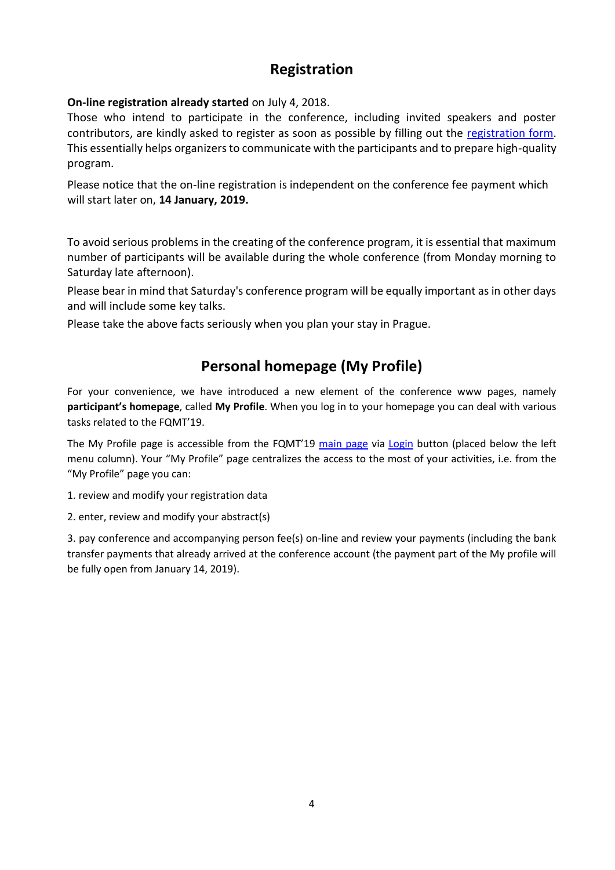### **Registration**

**On-line registration already started** on July 4, 2018.

Those who intend to participate in the conference, including invited speakers and poster contributors, are kindly asked to register as soon as possible by filling out the [registration form.](https://fqmt.fzu.cz/19/index.php?active=reg) This essentially helps organizers to communicate with the participants and to prepare high-quality program.

Please notice that the on-line registration is independent on the conference fee payment which will start later on, **14 January, 2019.** 

To avoid serious problems in the creating of the conference program, it is essential that maximum number of participants will be available during the whole conference (from Monday morning to Saturday late afternoon).

Please bear in mind that Saturday's conference program will be equally important as in other days and will include some key talks.

Please take the above facts seriously when you plan your stay in Prague.

# **Personal homepage (My Profile)**

For your convenience, we have introduced a new element of the conference www pages, namely **participant's homepage**, called **My Profile**. When you log in to your homepage you can deal with various tasks related to the FQMT'19.

The My Profile page is accessible from the FQMT'19 [main page](https://fqmt.fzu.cz/19/index.php) via [Login](https://fqmt.fzu.cz/19/index.php?active=login) button (placed below the left menu column). Your "My Profile" page centralizes the access to the most of your activities, i.e. from the "My Profile" page you can:

1. review and modify your registration data

2. enter, review and modify your abstract(s)

3. pay conference and accompanying person fee(s) on-line and review your payments (including the bank transfer payments that already arrived at the conference account (the payment part of the My profile will be fully open from January 14, 2019).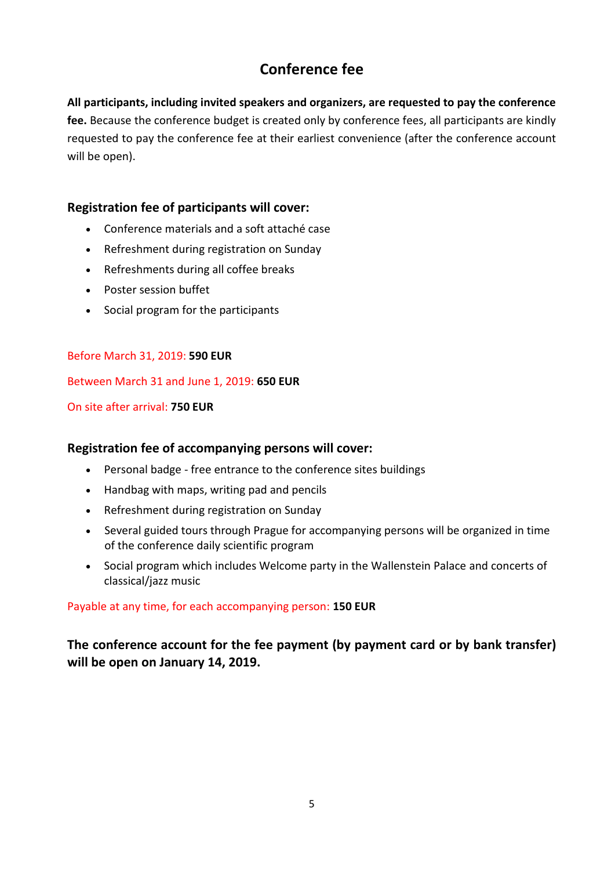# **Conference fee**

**All participants, including invited speakers and organizers, are requested to pay the conference fee.** Because the conference budget is created only by conference fees, all participants are kindly requested to pay the conference fee at their earliest convenience (after the conference account will be open).

### **Registration fee of participants will cover:**

- Conference materials and a soft attaché case
- Refreshment during registration on Sunday
- Refreshments during all coffee breaks
- Poster session buffet
- Social program for the participants

#### Before March 31, 2019: **590 EUR**

Between March 31 and June 1, 2019: **650 EUR**

#### On site after arrival: **750 EUR**

#### **Registration fee of accompanying persons will cover:**

- Personal badge free entrance to the conference sites buildings
- Handbag with maps, writing pad and pencils
- Refreshment during registration on Sunday
- Several guided tours through Prague for accompanying persons will be organized in time of the conference daily scientific program
- Social program which includes Welcome party in the Wallenstein Palace and concerts of classical/jazz music

#### Payable at any time, for each accompanying person: **150 EUR**

**The conference account for the fee payment (by payment card or by bank transfer) will be open on January 14, 2019.**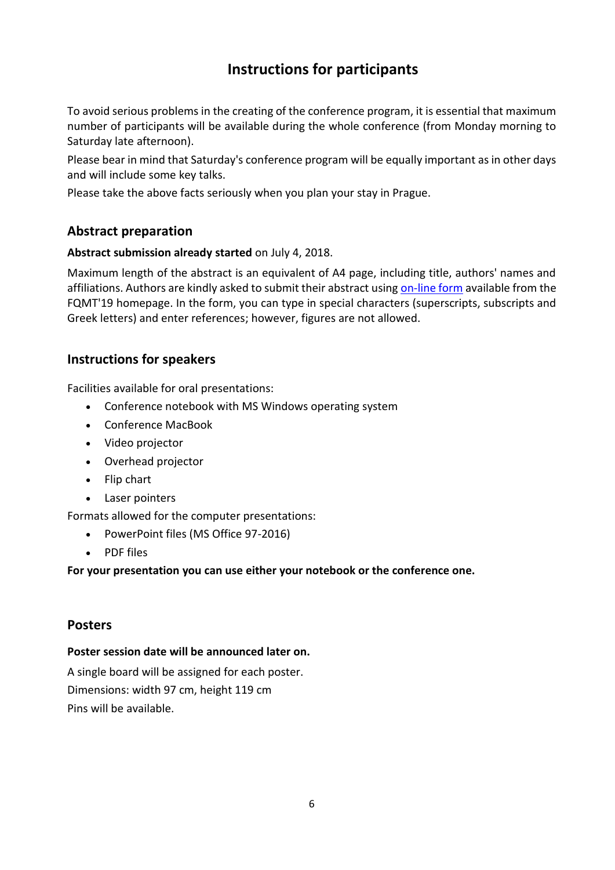# **Instructions for participants**

To avoid serious problems in the creating of the conference program, it is essential that maximum number of participants will be available during the whole conference (from Monday morning to Saturday late afternoon).

Please bear in mind that Saturday's conference program will be equally important as in other days and will include some key talks.

Please take the above facts seriously when you plan your stay in Prague.

### **Abstract preparation**

#### **Abstract submission already started** on July 4, 2018.

Maximum length of the abstract is an equivalent of A4 page, including title, authors' names and affiliations. Authors are kindly asked to submit their abstract using [on-line form](https://fqmt.fzu.cz/19/index.php?active=abs) available from the FQMT'19 homepage. In the form, you can type in special characters (superscripts, subscripts and Greek letters) and enter references; however, figures are not allowed.

#### **Instructions for speakers**

Facilities available for oral presentations:

- Conference notebook with MS Windows operating system
- Conference MacBook
- Video projector
- Overhead projector
- Flip chart
- Laser pointers

Formats allowed for the computer presentations:

- PowerPoint files (MS Office 97-2016)
- PDF files

#### **For your presentation you can use either your notebook or the conference one.**

#### **Posters**

#### **Poster session date will be announced later on.**

A single board will be assigned for each poster. Dimensions: width 97 cm, height 119 cm Pins will be available.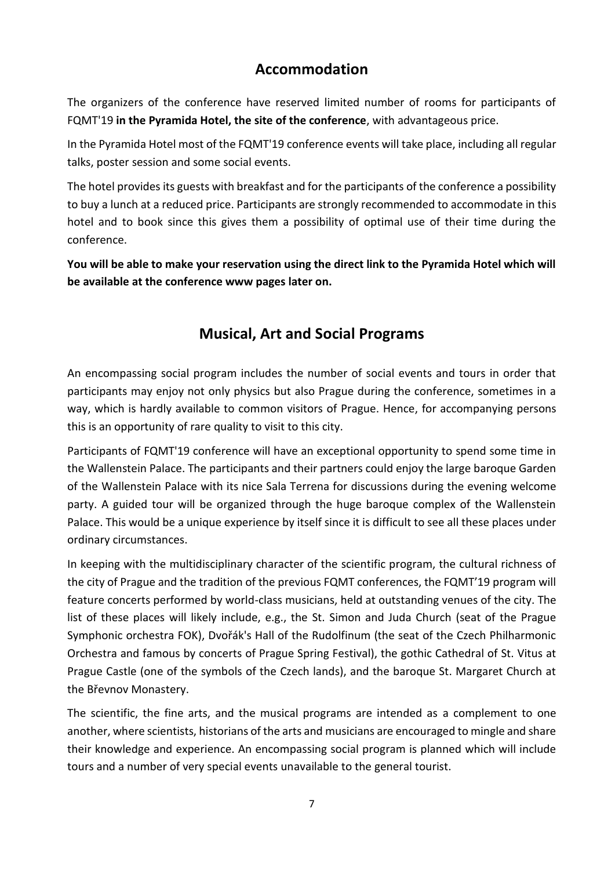## **Accommodation**

The organizers of the conference have reserved limited number of rooms for participants of FQMT'19 **in the Pyramida Hotel, the site of the conference**, with advantageous price.

In the Pyramida Hotel most of the FQMT'19 conference events will take place, including all regular talks, poster session and some social events.

The hotel provides its guests with breakfast and for the participants of the conference a possibility to buy a lunch at a reduced price. Participants are strongly recommended to accommodate in this hotel and to book since this gives them a possibility of optimal use of their time during the conference.

**You will be able to make your reservation using the direct link to the Pyramida Hotel which will be available at the conference www pages later on.**

## **Musical, Art and Social Programs**

An encompassing social program includes the number of social events and tours in order that participants may enjoy not only physics but also Prague during the conference, sometimes in a way, which is hardly available to common visitors of Prague. Hence, for accompanying persons this is an opportunity of rare quality to visit to this city.

Participants of FQMT'19 conference will have an exceptional opportunity to spend some time in the Wallenstein Palace. The participants and their partners could enjoy the large baroque Garden of the Wallenstein Palace with its nice Sala Terrena for discussions during the evening welcome party. A guided tour will be organized through the huge baroque complex of the Wallenstein Palace. This would be a unique experience by itself since it is difficult to see all these places under ordinary circumstances.

In keeping with the multidisciplinary character of the scientific program, the cultural richness of the city of Prague and the tradition of the previous FQMT conferences, the FQMT'19 program will feature concerts performed by world-class musicians, held at outstanding venues of the city. The list of these places will likely include, e.g., the St. Simon and Juda Church (seat of the Prague Symphonic orchestra FOK), Dvořák's Hall of the Rudolfinum (the seat of the Czech Philharmonic Orchestra and famous by concerts of Prague Spring Festival), the gothic Cathedral of St. Vitus at Prague Castle (one of the symbols of the Czech lands), and the baroque St. Margaret Church at the Břevnov Monastery.

The scientific, the fine arts, and the musical programs are intended as a complement to one another, where scientists, historians of the arts and musicians are encouraged to mingle and share their knowledge and experience. An encompassing social program is planned which will include tours and a number of very special events unavailable to the general tourist.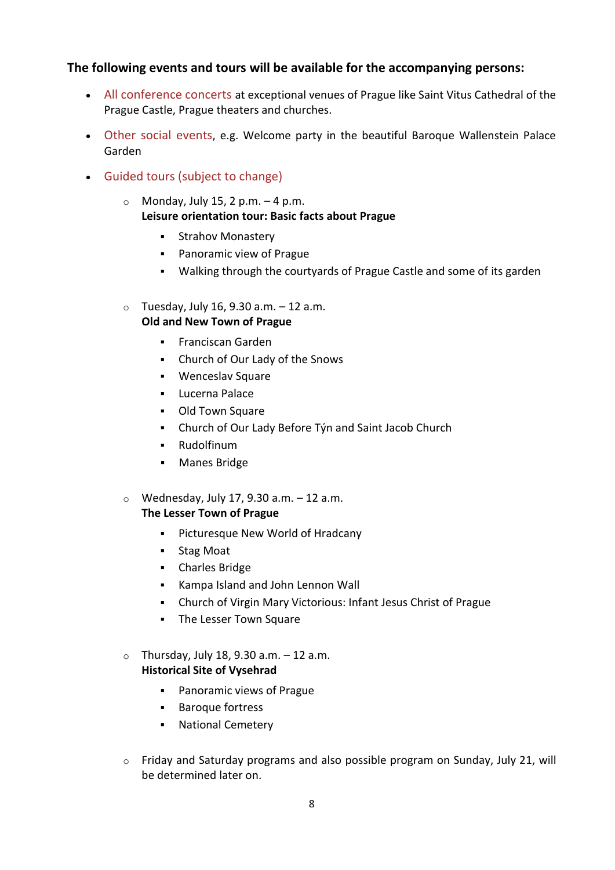#### **The following events and tours will be available for the accompanying persons:**

- All conference concerts at exceptional venues of Prague like Saint Vitus Cathedral of the Prague Castle, Prague theaters and churches.
- Other social events, e.g. Welcome party in the beautiful Baroque Wallenstein Palace Garden
- Guided tours (subject to change)
	- $\circ$  Monday, July 15, 2 p.m.  $-4$  p.m. **Leisure orientation tour: Basic facts about Prague**
		- **Strahov Monastery**
		- Panoramic view of Prague
		- Walking through the courtyards of Prague Castle and some of its garden
	- $\circ$  Tuesday, July 16, 9.30 a.m.  $-12$  a.m. **Old and New Town of Prague**
		- **Franciscan Garden**
		- Church of Our Lady of the Snows
		- Wenceslav Square
		- **-** Lucerna Palace
		- Old Town Square
		- Church of Our Lady Before Týn and Saint Jacob Church
		- Rudolfinum
		- **Manes Bridge**
	- $\circ$  Wednesday, July 17, 9.30 a.m.  $-12$  a.m. **The Lesser Town of Prague**
		- **•** Picturesque New World of Hradcany
		- Stag Moat
		- Charles Bridge
		- Kampa Island and John Lennon Wall
		- Church of Virgin Mary Victorious: Infant Jesus Christ of Prague
		- **The Lesser Town Square**
	- $\circ$  Thursday, July 18, 9.30 a.m.  $-12$  a.m. **Historical Site of Vysehrad**
		- Panoramic views of Prague
		- **Baroque fortress**
		- **National Cemetery**
	- o Friday and Saturday programs and also possible program on Sunday, July 21, will be determined later on.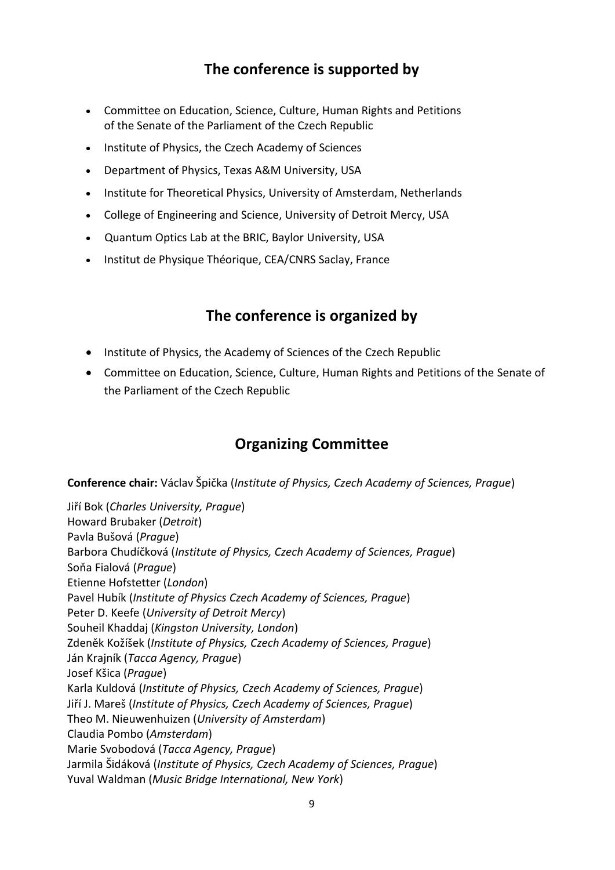# **The conference is supported by**

- Committee on Education, Science, Culture, Human Rights and Petitions of the Senate of the Parliament of the Czech Republic
- Institute of Physics, the Czech Academy of Sciences
- Department of Physics, Texas A&M University, USA
- Institute for Theoretical Physics, University of Amsterdam, Netherlands
- College of Engineering and Science, University of Detroit Mercy, USA
- Quantum Optics Lab at the BRIC, Baylor University, USA
- Institut de Physique Théorique, CEA/CNRS Saclay, France

### **The conference is organized by**

- Institute of Physics, the Academy of Sciences of the Czech Republic
- Committee on Education, Science, Culture, Human Rights and Petitions of the Senate of the Parliament of the Czech Republic

# **Organizing Committee**

**Conference chair:** Václav Špička (*Institute of Physics, Czech Academy of Sciences, Prague*)

Jiří Bok (*Charles University, Prague*) Howard Brubaker (*Detroit*) Pavla Bušová (*Prague*) Barbora Chudíčková (*Institute of Physics, Czech Academy of Sciences, Prague*) Soňa Fialová (*Prague*) Etienne Hofstetter (*London*) Pavel Hubík (*Institute of Physics Czech Academy of Sciences, Prague*) Peter D. Keefe (*University of Detroit Mercy*) Souheil Khaddaj (*Kingston University, London*) Zdeněk Kožíšek (*Institute of Physics, Czech Academy of Sciences, Prague*) Ján Krajník (*Tacca Agency, Prague*) Josef Kšica (*Prague*) Karla Kuldová (*Institute of Physics, Czech Academy of Sciences, Prague*) Jiří J. Mareš (*Institute of Physics, Czech Academy of Sciences, Prague*) Theo M. Nieuwenhuizen (*University of Amsterdam*) Claudia Pombo (*Amsterdam*) Marie Svobodová (*Tacca Agency, Prague*) Jarmila Šidáková (*Institute of Physics, Czech Academy of Sciences, Prague*) Yuval Waldman (*Music Bridge International, New York*)